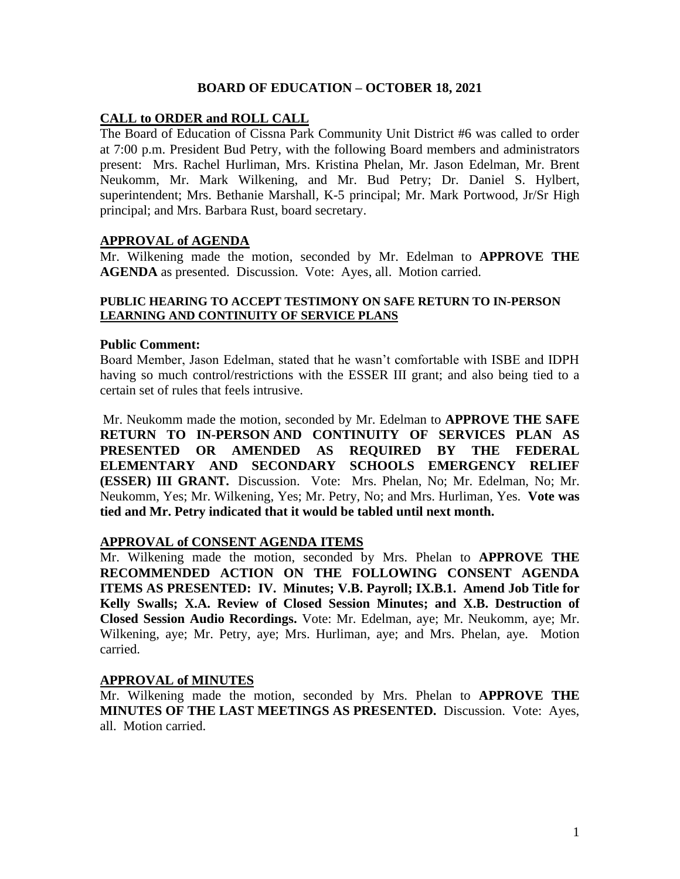## **BOARD OF EDUCATION – OCTOBER 18, 2021**

## **CALL to ORDER and ROLL CALL**

The Board of Education of Cissna Park Community Unit District #6 was called to order at 7:00 p.m. President Bud Petry, with the following Board members and administrators present: Mrs. Rachel Hurliman, Mrs. Kristina Phelan, Mr. Jason Edelman, Mr. Brent Neukomm, Mr. Mark Wilkening, and Mr. Bud Petry; Dr. Daniel S. Hylbert, superintendent; Mrs. Bethanie Marshall, K-5 principal; Mr. Mark Portwood, Jr/Sr High principal; and Mrs. Barbara Rust, board secretary.

### **APPROVAL of AGENDA**

Mr. Wilkening made the motion, seconded by Mr. Edelman to **APPROVE THE AGENDA** as presented. Discussion. Vote: Ayes, all. Motion carried.

#### **PUBLIC HEARING TO ACCEPT TESTIMONY ON SAFE RETURN TO IN-PERSON LEARNING AND CONTINUITY OF SERVICE PLANS**

### **Public Comment:**

Board Member, Jason Edelman, stated that he wasn't comfortable with ISBE and IDPH having so much control/restrictions with the ESSER III grant; and also being tied to a certain set of rules that feels intrusive.

Mr. Neukomm made the motion, seconded by Mr. Edelman to **APPROVE THE SAFE RETURN TO IN-PERSON AND CONTINUITY OF SERVICES PLAN AS PRESENTED OR AMENDED AS REQUIRED BY THE FEDERAL ELEMENTARY AND SECONDARY SCHOOLS EMERGENCY RELIEF (ESSER) III GRANT.** Discussion. Vote: Mrs. Phelan, No; Mr. Edelman, No; Mr. Neukomm, Yes; Mr. Wilkening, Yes; Mr. Petry, No; and Mrs. Hurliman, Yes. **Vote was tied and Mr. Petry indicated that it would be tabled until next month.**

### **APPROVAL of CONSENT AGENDA ITEMS**

Mr. Wilkening made the motion, seconded by Mrs. Phelan to **APPROVE THE RECOMMENDED ACTION ON THE FOLLOWING CONSENT AGENDA ITEMS AS PRESENTED: IV. Minutes; V.B. Payroll; IX.B.1. Amend Job Title for Kelly Swalls; X.A. Review of Closed Session Minutes; and X.B. Destruction of Closed Session Audio Recordings.** Vote: Mr. Edelman, aye; Mr. Neukomm, aye; Mr. Wilkening, aye; Mr. Petry, aye; Mrs. Hurliman, aye; and Mrs. Phelan, aye. Motion carried.

### **APPROVAL of MINUTES**

Mr. Wilkening made the motion, seconded by Mrs. Phelan to **APPROVE THE MINUTES OF THE LAST MEETINGS AS PRESENTED.** Discussion. Vote: Ayes, all. Motion carried.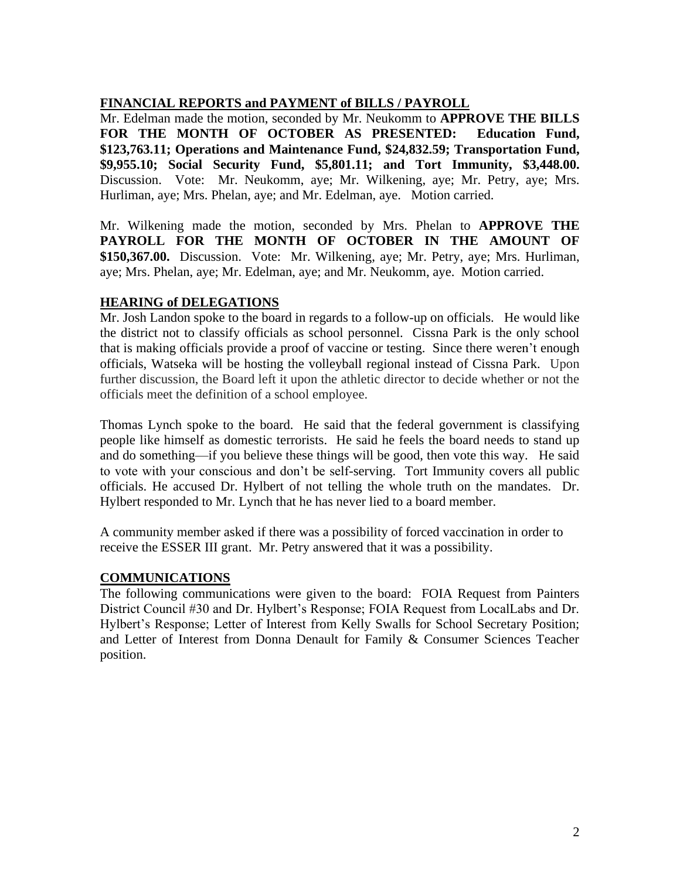# **FINANCIAL REPORTS and PAYMENT of BILLS / PAYROLL**

Mr. Edelman made the motion, seconded by Mr. Neukomm to **APPROVE THE BILLS FOR THE MONTH OF OCTOBER AS PRESENTED: Education Fund, \$123,763.11; Operations and Maintenance Fund, \$24,832.59; Transportation Fund, \$9,955.10; Social Security Fund, \$5,801.11; and Tort Immunity, \$3,448.00.**  Discussion. Vote: Mr. Neukomm, aye; Mr. Wilkening, aye; Mr. Petry, aye; Mrs. Hurliman, aye; Mrs. Phelan, aye; and Mr. Edelman, aye. Motion carried.

Mr. Wilkening made the motion, seconded by Mrs. Phelan to **APPROVE THE PAYROLL FOR THE MONTH OF OCTOBER IN THE AMOUNT OF \$150,367.00.** Discussion. Vote: Mr. Wilkening, aye; Mr. Petry, aye; Mrs. Hurliman, aye; Mrs. Phelan, aye; Mr. Edelman, aye; and Mr. Neukomm, aye. Motion carried.

# **HEARING of DELEGATIONS**

Mr. Josh Landon spoke to the board in regards to a follow-up on officials. He would like the district not to classify officials as school personnel. Cissna Park is the only school that is making officials provide a proof of vaccine or testing. Since there weren't enough officials, Watseka will be hosting the volleyball regional instead of Cissna Park. Upon further discussion, the Board left it upon the athletic director to decide whether or not the officials meet the definition of a school employee.

Thomas Lynch spoke to the board. He said that the federal government is classifying people like himself as domestic terrorists. He said he feels the board needs to stand up and do something—if you believe these things will be good, then vote this way. He said to vote with your conscious and don't be self-serving. Tort Immunity covers all public officials. He accused Dr. Hylbert of not telling the whole truth on the mandates. Dr. Hylbert responded to Mr. Lynch that he has never lied to a board member.

A community member asked if there was a possibility of forced vaccination in order to receive the ESSER III grant. Mr. Petry answered that it was a possibility.

# **COMMUNICATIONS**

The following communications were given to the board: FOIA Request from Painters District Council #30 and Dr. Hylbert's Response; FOIA Request from LocalLabs and Dr. Hylbert's Response; Letter of Interest from Kelly Swalls for School Secretary Position; and Letter of Interest from Donna Denault for Family & Consumer Sciences Teacher position.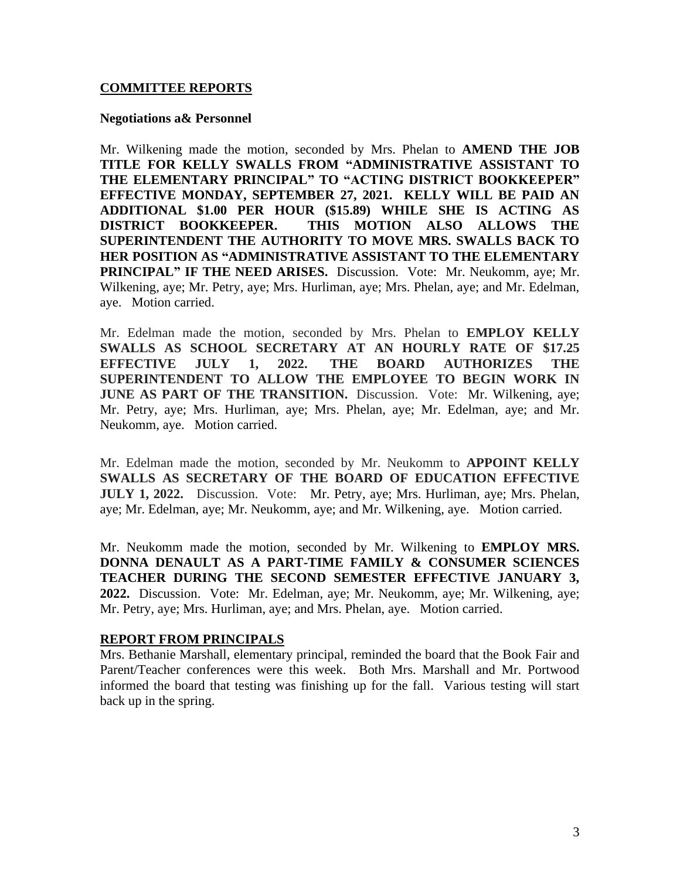## **COMMITTEE REPORTS**

#### **Negotiations a& Personnel**

Mr. Wilkening made the motion, seconded by Mrs. Phelan to **AMEND THE JOB TITLE FOR KELLY SWALLS FROM "ADMINISTRATIVE ASSISTANT TO THE ELEMENTARY PRINCIPAL" TO "ACTING DISTRICT BOOKKEEPER" EFFECTIVE MONDAY, SEPTEMBER 27, 2021. KELLY WILL BE PAID AN ADDITIONAL \$1.00 PER HOUR (\$15.89) WHILE SHE IS ACTING AS DISTRICT BOOKKEEPER. THIS MOTION ALSO ALLOWS THE SUPERINTENDENT THE AUTHORITY TO MOVE MRS. SWALLS BACK TO HER POSITION AS "ADMINISTRATIVE ASSISTANT TO THE ELEMENTARY PRINCIPAL" IF THE NEED ARISES.** Discussion. Vote: Mr. Neukomm, aye; Mr. Wilkening, aye; Mr. Petry, aye; Mrs. Hurliman, aye; Mrs. Phelan, aye; and Mr. Edelman, aye. Motion carried.

Mr. Edelman made the motion, seconded by Mrs. Phelan to **EMPLOY KELLY SWALLS AS SCHOOL SECRETARY AT AN HOURLY RATE OF \$17.25 EFFECTIVE JULY 1, 2022. THE BOARD AUTHORIZES THE SUPERINTENDENT TO ALLOW THE EMPLOYEE TO BEGIN WORK IN JUNE AS PART OF THE TRANSITION.** Discussion. Vote: Mr. Wilkening, aye; Mr. Petry, aye; Mrs. Hurliman, aye; Mrs. Phelan, aye; Mr. Edelman, aye; and Mr. Neukomm, aye. Motion carried.

Mr. Edelman made the motion, seconded by Mr. Neukomm to **APPOINT KELLY SWALLS AS SECRETARY OF THE BOARD OF EDUCATION EFFECTIVE JULY 1, 2022.** Discussion. Vote: Mr. Petry, aye; Mrs. Hurliman, aye; Mrs. Phelan, aye; Mr. Edelman, aye; Mr. Neukomm, aye; and Mr. Wilkening, aye. Motion carried.

Mr. Neukomm made the motion, seconded by Mr. Wilkening to **EMPLOY MRS. DONNA DENAULT AS A PART-TIME FAMILY & CONSUMER SCIENCES TEACHER DURING THE SECOND SEMESTER EFFECTIVE JANUARY 3, 2022.** Discussion. Vote: Mr. Edelman, aye; Mr. Neukomm, aye; Mr. Wilkening, aye; Mr. Petry, aye; Mrs. Hurliman, aye; and Mrs. Phelan, aye. Motion carried.

### **REPORT FROM PRINCIPALS**

Mrs. Bethanie Marshall, elementary principal, reminded the board that the Book Fair and Parent/Teacher conferences were this week. Both Mrs. Marshall and Mr. Portwood informed the board that testing was finishing up for the fall. Various testing will start back up in the spring.